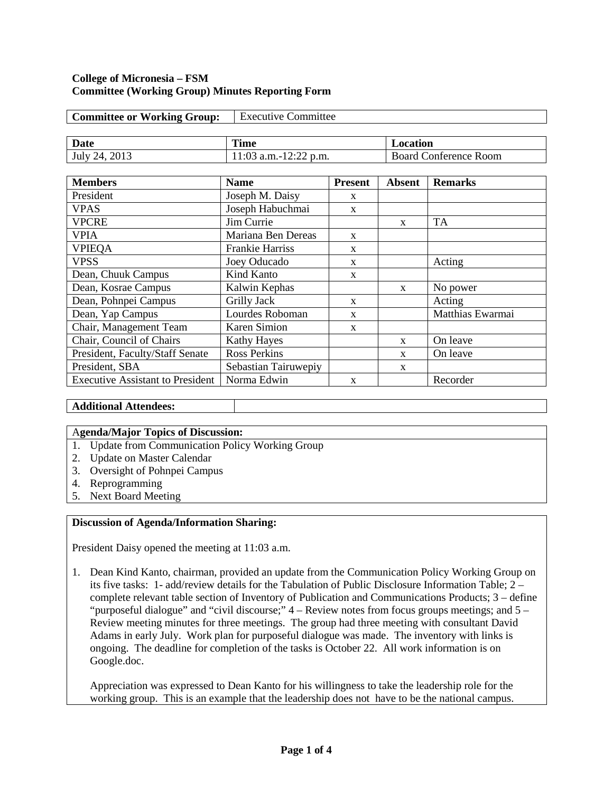### **College of Micronesia – FSM Committee (Working Group) Minutes Reporting Form**

| <b>Committee or Working Group:</b> | <b>Executive Committee</b> |                              |  |  |
|------------------------------------|----------------------------|------------------------------|--|--|
|                                    |                            |                              |  |  |
| Date                               | Time                       | Location                     |  |  |
| July 24, 2013                      | $11:03$ a.m.-12:22 p.m.    | <b>Board Conference Room</b> |  |  |

| <b>Members</b>                          | <b>Name</b>            | <b>Present</b> | <b>Absent</b> | <b>Remarks</b>   |
|-----------------------------------------|------------------------|----------------|---------------|------------------|
| President                               | Joseph M. Daisy        | X              |               |                  |
| <b>VPAS</b>                             | Joseph Habuchmai       | $\mathbf{x}$   |               |                  |
| <b>VPCRE</b>                            | Jim Currie             |                | X             | <b>TA</b>        |
| <b>VPIA</b>                             | Mariana Ben Dereas     | $\mathbf{x}$   |               |                  |
| <b>VPIEQA</b>                           | <b>Frankie Harriss</b> | X              |               |                  |
| <b>VPSS</b>                             | Joey Oducado           | $\mathbf{x}$   |               | Acting           |
| Dean, Chuuk Campus                      | Kind Kanto             | $\mathbf{x}$   |               |                  |
| Dean, Kosrae Campus                     | Kalwin Kephas          |                | $\mathbf{x}$  | No power         |
| Dean, Pohnpei Campus                    | Grilly Jack            | $\mathbf{x}$   |               | Acting           |
| Dean, Yap Campus                        | Lourdes Roboman        | X              |               | Matthias Ewarmai |
| Chair, Management Team                  | <b>Karen Simion</b>    | $\mathbf{x}$   |               |                  |
| Chair, Council of Chairs                | <b>Kathy Hayes</b>     |                | $\mathbf{x}$  | On leave         |
| President, Faculty/Staff Senate         | <b>Ross Perkins</b>    |                | X             | On leave         |
| President, SBA                          | Sebastian Tairuwepiy   |                | X             |                  |
| <b>Executive Assistant to President</b> | Norma Edwin            | X              |               | Recorder         |

# **Additional Attendees:**

## A**genda/Major Topics of Discussion:**

- 1. Update from Communication Policy Working Group
- 2. Update on Master Calendar
- 3. Oversight of Pohnpei Campus
- 4. Reprogramming
- 5. Next Board Meeting

## **Discussion of Agenda/Information Sharing:**

President Daisy opened the meeting at 11:03 a.m.

1. Dean Kind Kanto, chairman, provided an update from the Communication Policy Working Group on its five tasks: 1- add/review details for the Tabulation of Public Disclosure Information Table; 2 – complete relevant table section of Inventory of Publication and Communications Products; 3 – define "purposeful dialogue" and "civil discourse;" 4 – Review notes from focus groups meetings; and 5 – Review meeting minutes for three meetings. The group had three meeting with consultant David Adams in early July. Work plan for purposeful dialogue was made. The inventory with links is ongoing. The deadline for completion of the tasks is October 22. All work information is on Google.doc.

Appreciation was expressed to Dean Kanto for his willingness to take the leadership role for the working group. This is an example that the leadership does not have to be the national campus.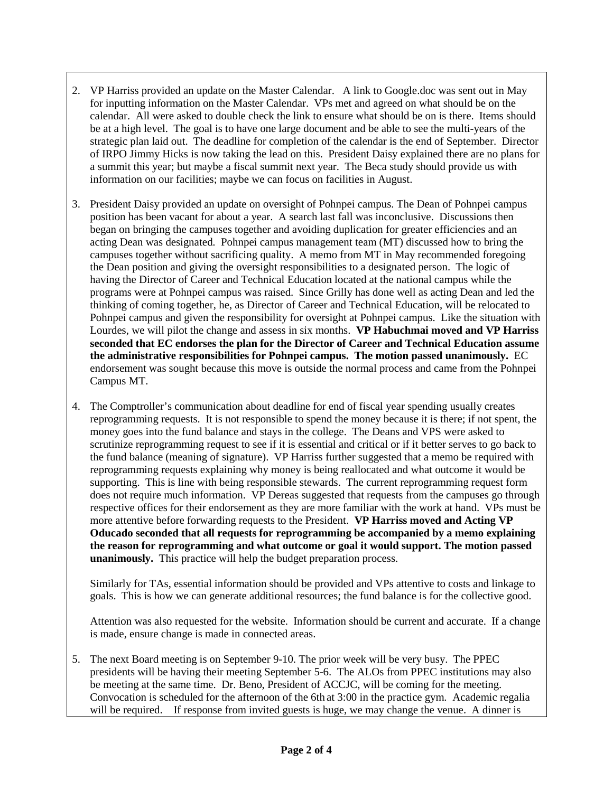- 2. VP Harriss provided an update on the Master Calendar. A link to Google.doc was sent out in May for inputting information on the Master Calendar. VPs met and agreed on what should be on the calendar. All were asked to double check the link to ensure what should be on is there. Items should be at a high level. The goal is to have one large document and be able to see the multi-years of the strategic plan laid out. The deadline for completion of the calendar is the end of September. Director of IRPO Jimmy Hicks is now taking the lead on this. President Daisy explained there are no plans for a summit this year; but maybe a fiscal summit next year. The Beca study should provide us with information on our facilities; maybe we can focus on facilities in August.
- 3. President Daisy provided an update on oversight of Pohnpei campus. The Dean of Pohnpei campus position has been vacant for about a year. A search last fall was inconclusive. Discussions then began on bringing the campuses together and avoiding duplication for greater efficiencies and an acting Dean was designated. Pohnpei campus management team (MT) discussed how to bring the campuses together without sacrificing quality. A memo from MT in May recommended foregoing the Dean position and giving the oversight responsibilities to a designated person. The logic of having the Director of Career and Technical Education located at the national campus while the programs were at Pohnpei campus was raised. Since Grilly has done well as acting Dean and led the thinking of coming together, he, as Director of Career and Technical Education, will be relocated to Pohnpei campus and given the responsibility for oversight at Pohnpei campus. Like the situation with Lourdes, we will pilot the change and assess in six months. **VP Habuchmai moved and VP Harriss seconded that EC endorses the plan for the Director of Career and Technical Education assume the administrative responsibilities for Pohnpei campus. The motion passed unanimously.** EC endorsement was sought because this move is outside the normal process and came from the Pohnpei Campus MT.
- 4. The Comptroller's communication about deadline for end of fiscal year spending usually creates reprogramming requests. It is not responsible to spend the money because it is there; if not spent, the money goes into the fund balance and stays in the college. The Deans and VPS were asked to scrutinize reprogramming request to see if it is essential and critical or if it better serves to go back to the fund balance (meaning of signature). VP Harriss further suggested that a memo be required with reprogramming requests explaining why money is being reallocated and what outcome it would be supporting. This is line with being responsible stewards. The current reprogramming request form does not require much information. VP Dereas suggested that requests from the campuses go through respective offices for their endorsement as they are more familiar with the work at hand. VPs must be more attentive before forwarding requests to the President. **VP Harriss moved and Acting VP Oducado seconded that all requests for reprogramming be accompanied by a memo explaining the reason for reprogramming and what outcome or goal it would support. The motion passed unanimously.** This practice will help the budget preparation process.

Similarly for TAs, essential information should be provided and VPs attentive to costs and linkage to goals. This is how we can generate additional resources; the fund balance is for the collective good.

Attention was also requested for the website. Information should be current and accurate. If a change is made, ensure change is made in connected areas.

5. The next Board meeting is on September 9-10. The prior week will be very busy. The PPEC presidents will be having their meeting September 5-6. The ALOs from PPEC institutions may also be meeting at the same time. Dr. Beno, President of ACCJC, will be coming for the meeting. Convocation is scheduled for the afternoon of the 6th at 3:00 in the practice gym. Academic regalia will be required. If response from invited guests is huge, we may change the venue. A dinner is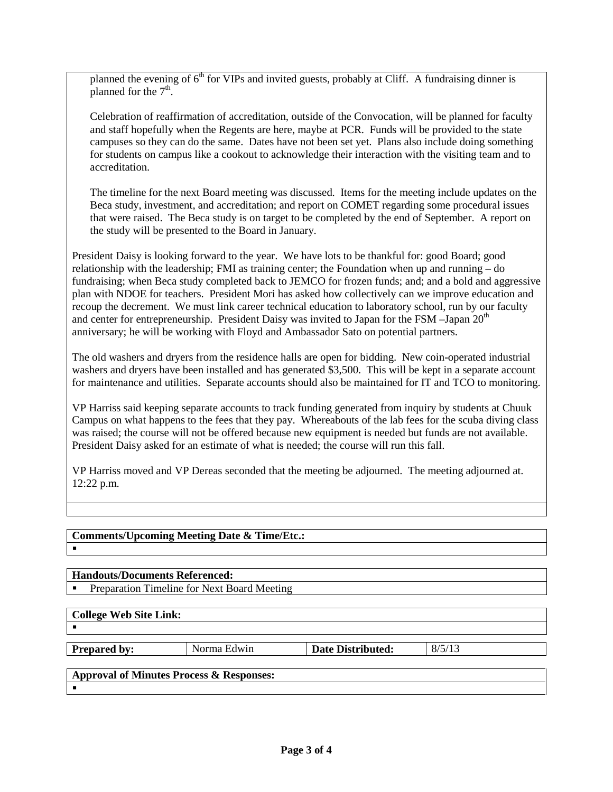planned the evening of  $6<sup>th</sup>$  for VIPs and invited guests, probably at Cliff. A fundraising dinner is planned for the  $7<sup>th</sup>$ .

Celebration of reaffirmation of accreditation, outside of the Convocation, will be planned for faculty and staff hopefully when the Regents are here, maybe at PCR. Funds will be provided to the state campuses so they can do the same. Dates have not been set yet. Plans also include doing something for students on campus like a cookout to acknowledge their interaction with the visiting team and to accreditation.

The timeline for the next Board meeting was discussed. Items for the meeting include updates on the Beca study, investment, and accreditation; and report on COMET regarding some procedural issues that were raised. The Beca study is on target to be completed by the end of September. A report on the study will be presented to the Board in January.

President Daisy is looking forward to the year. We have lots to be thankful for: good Board; good relationship with the leadership; FMI as training center; the Foundation when up and running – do fundraising; when Beca study completed back to JEMCO for frozen funds; and; and a bold and aggressive plan with NDOE for teachers. President Mori has asked how collectively can we improve education and recoup the decrement. We must link career technical education to laboratory school, run by our faculty and center for entrepreneurship. President Daisy was invited to Japan for the FSM  $-$ Japan  $20<sup>th</sup>$ anniversary; he will be working with Floyd and Ambassador Sato on potential partners.

The old washers and dryers from the residence halls are open for bidding. New coin-operated industrial washers and dryers have been installed and has generated \$3,500. This will be kept in a separate account for maintenance and utilities. Separate accounts should also be maintained for IT and TCO to monitoring.

VP Harriss said keeping separate accounts to track funding generated from inquiry by students at Chuuk Campus on what happens to the fees that they pay. Whereabouts of the lab fees for the scuba diving class was raised; the course will not be offered because new equipment is needed but funds are not available. President Daisy asked for an estimate of what is needed; the course will run this fall.

VP Harriss moved and VP Dereas seconded that the meeting be adjourned. The meeting adjourned at. 12:22 p.m.

# **Comments/Upcoming Meeting Date & Time/Etc.:**

## **Handouts/Documents Referenced:**

Preparation Timeline for Next Board Meeting

| <b>College Web Site Link:</b> |  |  |
|-------------------------------|--|--|
| - -                           |  |  |

 $\blacksquare$ 

**Prepared by:** Norma Edwin **Date Distributed:** 8/5/13

#### **Approval of Minutes Process & Responses:**  $\blacksquare$